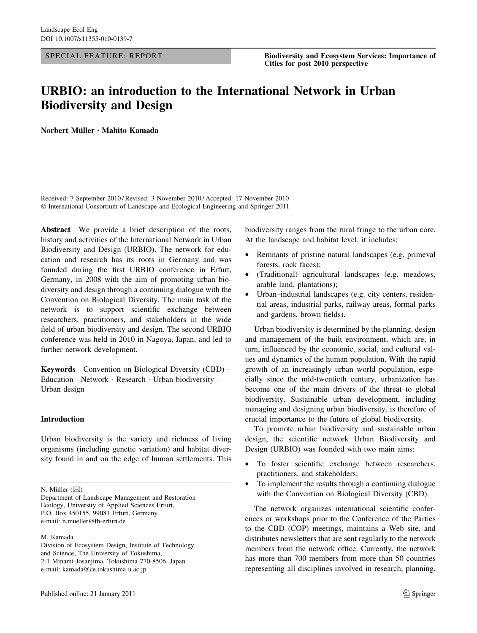# URBIO: an introduction to the International Network in Urban Biodiversity and Design

Norbert Müller • Mahito Kamada

Received: 7 September 2010 / Revised: 3 November 2010 / Accepted: 17 November 2010 © International Consortium of Landscape and Ecological Engineering and Springer 2011

Abstract We provide a brief description of the roots, history and activities of the International Network in Urban Biodiversity and Design (URBIO). The network for education and research has its roots in Germany and was founded during the first URBIO conference in Erfurt, Germany, in 2008 with the aim of promoting urban biodiversity and design through a continuing dialogue with the Convention on Biological Diversity. The main task of the network is to support scientific exchange between researchers, practitioners, and stakeholders in the wide field of urban biodiversity and design. The second URBIO conference was held in 2010 in Nagoya, Japan, and led to further network development.

Keywords Convention on Biological Diversity (CBD) - Education - Network - Research - Urban biodiversity - Urban design

# Introduction

Urban biodiversity is the variety and richness of living organisms (including genetic variation) and habitat diversity found in and on the edge of human settlements. This

N. Müller  $(\boxtimes)$ 

#### M. Kamada

Division of Ecosystem Design, Institute of Technology and Science, The University of Tokushima, 2-1 Minami-Josanjima, Tokushima 770-8506, Japan e-mail: kamada@ce.tokushima-u.ac.jp

biodiversity ranges from the rural fringe to the urban core. At the landscape and habitat level, it includes:

- Remnants of pristine natural landscapes (e.g. primeval forests, rock faces);
- (Traditional) agricultural landscapes (e.g. meadows, arable land, plantations);
- Urban–industrial landscapes (e.g. city centers, residential areas, industrial parks, railway areas, formal parks and gardens, brown fields).

Urban biodiversity is determined by the planning, design and management of the built environment, which are, in turn, influenced by the economic, social, and cultural values and dynamics of the human population. With the rapid growth of an increasingly urban world population, especially since the mid-twentieth century, urbanization has become one of the main drivers of the threat to global biodiversity. Sustainable urban development, including managing and designing urban biodiversity, is therefore of crucial importance to the future of global biodiversity.

To promote urban biodiversity and sustainable urban design, the scientific network Urban Biodiversity and Design (URBIO) was founded with two main aims:

- To foster scientific exchange between researchers, practitioners, and stakeholders;
- To implement the results through a continuing dialogue with the Convention on Biological Diversity (CBD).

The network organizes international scientific conferences or workshops prior to the Conference of the Parties to the CBD (COP) meetings, maintains a Web site, and distributes newsletters that are sent regularly to the network members from the network office. Currently, the network has more than 700 members from more than 50 countries representing all disciplines involved in research, planning,

Department of Landscape Management and Restoration Ecology, University of Applied Sciences Erfurt, P.O. Box 450155, 99081 Erfurt, Germany e-mail: n.mueller@fh-erfurt.de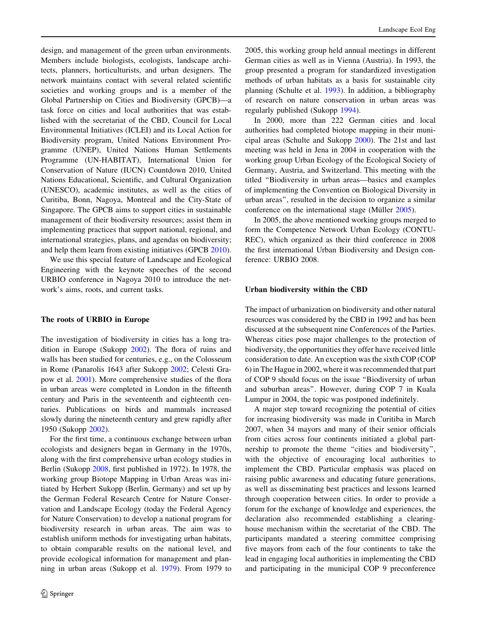design, and management of the green urban environments. Members include biologists, ecologists, landscape architects, planners, horticulturists, and urban designers. The network maintains contact with several related scientific societies and working groups and is a member of the Global Partnership on Cities and Biodiversity (GPCB)—a task force on cities and local authorities that was established with the secretariat of the CBD, Council for Local Environmental Initiatives (ICLEI) and its Local Action for Biodiversity program, United Nations Environment Programme (UNEP), United Nations Human Settlements Programme (UN-HABITAT), International Union for Conservation of Nature (IUCN) Countdown 2010, United Nations Educational, Scientific, and Cultural Organization (UNESCO), academic institutes, as well as the cities of Curitiba, Bonn, Nagoya, Montreal and the City-State of Singapore. The GPCB aims to support cities in sustainable management of their biodiversity resources; assist them in implementing practices that support national, regional, and international strategies, plans, and agendas on biodiversity; and help them learn from existing initiatives (GPCB [2010](#page-6-0)).

We use this special feature of Landscape and Ecological Engineering with the keynote speeches of the second URBIO conference in Nagoya 2010 to introduce the network's aims, roots, and current tasks.

# The roots of URBIO in Europe

The investigation of biodiversity in cities has a long tradition in Europe (Sukopp [2002](#page-7-0)). The flora of ruins and walls has been studied for centuries, e.g., on the Colosseum in Rome (Panarolis 1643 after Sukopp [2002](#page-7-0); Celesti Grapow et al. [2001\)](#page-6-0). More comprehensive studies of the flora in urban areas were completed in London in the fifteenth century and Paris in the seventeenth and eighteenth centuries. Publications on birds and mammals increased slowly during the nineteenth century and grew rapidly after 1950 (Sukopp [2002](#page-7-0)).

For the first time, a continuous exchange between urban ecologists and designers began in Germany in the 1970s, along with the first comprehensive urban ecology studies in Berlin (Sukopp [2008,](#page-7-0) first published in 1972). In 1978, the working group Biotope Mapping in Urban Areas was initiated by Herbert Sukopp (Berlin, Germany) and set up by the German Federal Research Centre for Nature Conservation and Landscape Ecology (today the Federal Agency for Nature Conservation) to develop a national program for biodiversity research in urban areas. The aim was to establish uniform methods for investigating urban habitats, to obtain comparable results on the national level, and provide ecological information for management and planning in urban areas (Sukopp et al. [1979\)](#page-7-0). From 1979 to 2005, this working group held annual meetings in different German cities as well as in Vienna (Austria). In 1993, the group presented a program for standardized investigation methods of urban habitats as a basis for sustainable city planning (Schulte et al. [1993](#page-7-0)). In addition, a bibliography of research on nature conservation in urban areas was regularly published (Sukopp [1994\)](#page-7-0).

In 2000, more than 222 German cities and local authorities had completed biotope mapping in their municipal areas (Schulte and Sukopp [2000](#page-6-0)). The 21st and last meeting was held in Jena in 2004 in cooperation with the working group Urban Ecology of the Ecological Society of Germany, Austria, and Switzerland. This meeting with the titled ''Biodiversity in urban areas—basics and examples of implementing the Convention on Biological Diversity in urban areas'', resulted in the decision to organize a similar conference on the international stage (Müller [2005](#page-6-0)).

In 2005, the above mentioned working groups merged to form the Competence Network Urban Ecology (CONTU-REC), which organized as their third conference in 2008 the first international Urban Biodiversity and Design conference: URBIO 2008.

## Urban biodiversity within the CBD

The impact of urbanization on biodiversity and other natural resources was considered by the CBD in 1992 and has been discussed at the subsequent nine Conferences of the Parties. Whereas cities pose major challenges to the protection of biodiversity, the opportunities they offer have received little consideration to date. An exception was the sixth COP (COP 6) in The Hague in 2002, where it was recommended that part of COP 9 should focus on the issue ''Biodiversity of urban and suburban areas''. However, during COP 7 in Kuala Lumpur in 2004, the topic was postponed indefinitely.

A major step toward recognizing the potential of cities for increasing biodiversity was made in Curitiba in March 2007, when 34 mayors and many of their senior officials from cities across four continents initiated a global partnership to promote the theme ''cities and biodiversity'', with the objective of encouraging local authorities to implement the CBD. Particular emphasis was placed on raising public awareness and educating future generations, as well as disseminating best practices and lessons learned through cooperation between cities. In order to provide a forum for the exchange of knowledge and experiences, the declaration also recommended establishing a clearinghouse mechanism within the secretariat of the CBD. The participants mandated a steering committee comprising five mayors from each of the four continents to take the lead in engaging local authorities in implementing the CBD and participating in the municipal COP 9 preconference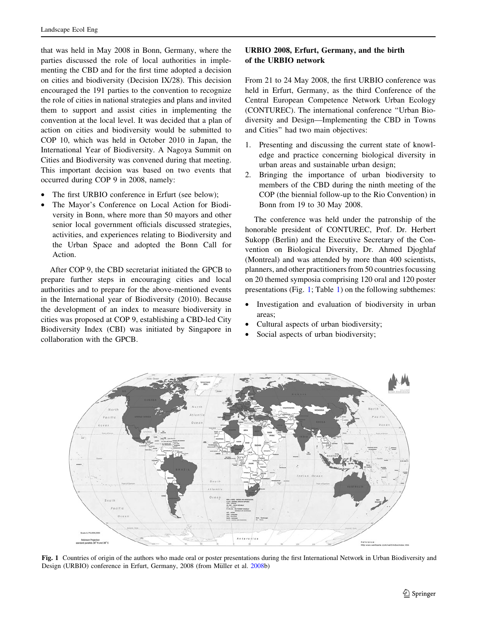that was held in May 2008 in Bonn, Germany, where the parties discussed the role of local authorities in implementing the CBD and for the first time adopted a decision on cities and biodiversity (Decision IX/28). This decision encouraged the 191 parties to the convention to recognize the role of cities in national strategies and plans and invited them to support and assist cities in implementing the convention at the local level. It was decided that a plan of action on cities and biodiversity would be submitted to COP 10, which was held in October 2010 in Japan, the International Year of Biodiversity. A Nagoya Summit on Cities and Biodiversity was convened during that meeting. This important decision was based on two events that occurred during COP 9 in 2008, namely:

- The first URBIO conference in Erfurt (see below);
- The Mayor's Conference on Local Action for Biodiversity in Bonn, where more than 50 mayors and other senior local government officials discussed strategies, activities, and experiences relating to Biodiversity and the Urban Space and adopted the Bonn Call for Action.

After COP 9, the CBD secretariat initiated the GPCB to prepare further steps in encouraging cities and local authorities and to prepare for the above-mentioned events in the International year of Biodiversity (2010). Because the development of an index to measure biodiversity in cities was proposed at COP 9, establishing a CBD-led City Biodiversity Index (CBI) was initiated by Singapore in collaboration with the GPCB.

# URBIO 2008, Erfurt, Germany, and the birth of the URBIO network

From 21 to 24 May 2008, the first URBIO conference was held in Erfurt, Germany, as the third Conference of the Central European Competence Network Urban Ecology (CONTUREC). The international conference ''Urban Biodiversity and Design—Implementing the CBD in Towns and Cities'' had two main objectives:

- 1. Presenting and discussing the current state of knowledge and practice concerning biological diversity in urban areas and sustainable urban design;
- 2. Bringing the importance of urban biodiversity to members of the CBD during the ninth meeting of the COP (the biennial follow-up to the Rio Convention) in Bonn from 19 to 30 May 2008.

The conference was held under the patronship of the honorable president of CONTUREC, Prof. Dr. Herbert Sukopp (Berlin) and the Executive Secretary of the Convention on Biological Diversity, Dr. Ahmed Djoghlaf (Montreal) and was attended by more than 400 scientists, planners, and other practitioners from 50 countries focussing on 20 themed symposia comprising 120 oral and 120 poster presentations (Fig. 1; Table [1](#page-3-0)) on the following subthemes:

- Investigation and evaluation of biodiversity in urban areas;
- Cultural aspects of urban biodiversity;
- Social aspects of urban biodiversity;



Fig. 1 Countries of origin of the authors who made oral or poster presentations during the first International Network in Urban Biodiversity and Design (URBIO) conference in Erfurt, Germany, 2008 (from Müller et al. [2008b](#page-6-0))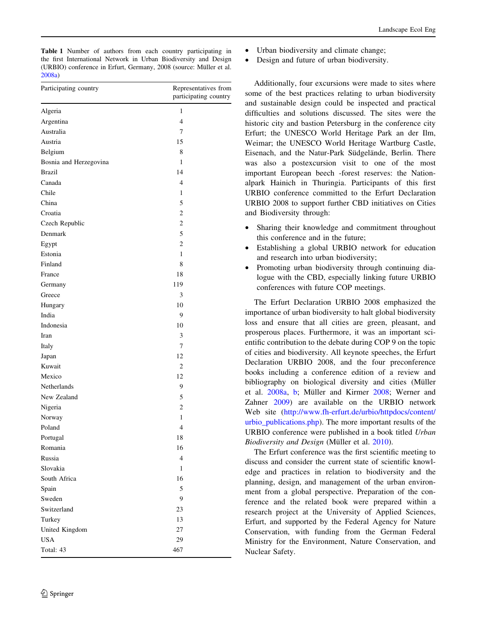<span id="page-3-0"></span>Table 1 Number of authors from each country participating in the first International Network in Urban Biodiversity and Design (URBIO) conference in Erfurt, Germany, 2008 (source: Müller et al. [2008a\)](#page-6-0)

| Participating country  | Representatives from<br>participating country |
|------------------------|-----------------------------------------------|
| Algeria                | 1                                             |
| Argentina              | $\overline{4}$                                |
| Australia              | 7                                             |
| Austria                | 15                                            |
| Belgium                | 8                                             |
| Bosnia and Herzegovina | 1                                             |
| <b>Brazil</b>          | 14                                            |
| Canada                 | 4                                             |
| Chile                  | 1                                             |
| China                  | 5                                             |
| Croatia                | $\overline{c}$                                |
| Czech Republic         | 2                                             |
| Denmark                | 5                                             |
| Egypt                  | $\overline{2}$                                |
| Estonia                | $\mathbf{1}$                                  |
| Finland                | 8                                             |
| France                 | 18                                            |
| Germany                | 119                                           |
| Greece                 | 3                                             |
| Hungary                | 10                                            |
| India                  | 9                                             |
| Indonesia              | 10                                            |
| Iran                   | 3                                             |
| Italy                  | 7                                             |
| Japan                  | 12                                            |
| Kuwait                 | 2                                             |
| Mexico                 | 12                                            |
| Netherlands            | 9                                             |
| New Zealand            | 5                                             |
| Nigeria                | 2                                             |
| Norway                 | $\mathbf{1}$                                  |
| Poland                 | $\overline{4}$                                |
| Portugal               | 18                                            |
| Romania                | 16                                            |
| Russia                 | $\overline{4}$                                |
| Slovakia               | 1                                             |
| South Africa           | 16                                            |
| Spain                  | 5                                             |
| Sweden                 | 9                                             |
| Switzerland            | 23                                            |
| Turkey                 | 13                                            |
| United Kingdom         | 27                                            |
| <b>USA</b>             | 29                                            |
| Total: 43              | 467                                           |

- Urban biodiversity and climate change;
- Design and future of urban biodiversity.

Additionally, four excursions were made to sites where some of the best practices relating to urban biodiversity and sustainable design could be inspected and practical difficulties and solutions discussed. The sites were the historic city and bastion Petersburg in the conference city Erfurt; the UNESCO World Heritage Park an der Ilm, Weimar; the UNESCO World Heritage Wartburg Castle, Eisenach, and the Natur-Park Südgelände, Berlin. There was also a postexcursion visit to one of the most important European beech -forest reserves: the Nationalpark Hainich in Thuringia. Participants of this first URBIO conference committed to the Erfurt Declaration URBIO 2008 to support further CBD initiatives on Cities and Biodiversity through:

- Sharing their knowledge and commitment throughout this conference and in the future;
- Establishing a global URBIO network for education and research into urban biodiversity;
- Promoting urban biodiversity through continuing dialogue with the CBD, especially linking future URBIO conferences with future COP meetings.

The Erfurt Declaration URBIO 2008 emphasized the importance of urban biodiversity to halt global biodiversity loss and ensure that all cities are green, pleasant, and prosperous places. Furthermore, it was an important scientific contribution to the debate during COP 9 on the topic of cities and biodiversity. All keynote speeches, the Erfurt Declaration URBIO 2008, and the four preconference books including a conference edition of a review and bibliography on biological diversity and cities (Müller et al. [2008a](#page-6-0), [b](#page-6-0); Müller and Kirmer [2008](#page-6-0); Werner and Zahner [2009\)](#page-7-0) are available on the URBIO network Web site ([http://www.fh-erfurt.de/urbio/httpdocs/content/](http://www.fh-erfurt.de/urbio/httpdocs/content/urbio_publications.php) [urbio\\_publications.php\)](http://www.fh-erfurt.de/urbio/httpdocs/content/urbio_publications.php). The more important results of the URBIO conference were published in a book titled Urban Biodiversity and Design (Müller et al. [2010](#page-6-0)).

The Erfurt conference was the first scientific meeting to discuss and consider the current state of scientific knowledge and practices in relation to biodiversity and the planning, design, and management of the urban environment from a global perspective. Preparation of the conference and the related book were prepared within a research project at the University of Applied Sciences, Erfurt, and supported by the Federal Agency for Nature Conservation, with funding from the German Federal Ministry for the Environment, Nature Conservation, and Nuclear Safety.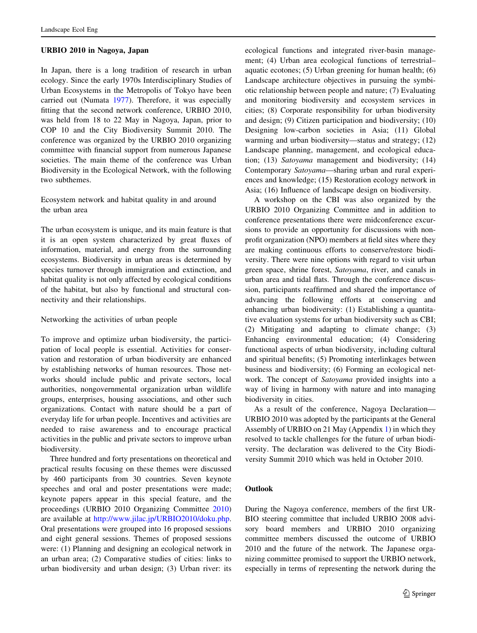# URBIO 2010 in Nagoya, Japan

In Japan, there is a long tradition of research in urban ecology. Since the early 1970s Interdisciplinary Studies of Urban Ecosystems in the Metropolis of Tokyo have been carried out (Numata [1977](#page-6-0)). Therefore, it was especially fitting that the second network conference, URBIO 2010, was held from 18 to 22 May in Nagoya, Japan, prior to COP 10 and the City Biodiversity Summit 2010. The conference was organized by the URBIO 2010 organizing committee with financial support from numerous Japanese societies. The main theme of the conference was Urban Biodiversity in the Ecological Network, with the following two subthemes.

Ecosystem network and habitat quality in and around the urban area

The urban ecosystem is unique, and its main feature is that it is an open system characterized by great fluxes of information, material, and energy from the surrounding ecosystems. Biodiversity in urban areas is determined by species turnover through immigration and extinction, and habitat quality is not only affected by ecological conditions of the habitat, but also by functional and structural connectivity and their relationships.

# Networking the activities of urban people

To improve and optimize urban biodiversity, the participation of local people is essential. Activities for conservation and restoration of urban biodiversity are enhanced by establishing networks of human resources. Those networks should include public and private sectors, local authorities, nongovernmental organization urban wildlife groups, enterprises, housing associations, and other such organizations. Contact with nature should be a part of everyday life for urban people. Incentives and activities are needed to raise awareness and to encourage practical activities in the public and private sectors to improve urban biodiversity.

Three hundred and forty presentations on theoretical and practical results focusing on these themes were discussed by 460 participants from 30 countries. Seven keynote speeches and oral and poster presentations were made; keynote papers appear in this special feature, and the proceedings (URBIO 2010 Organizing Committee [2010\)](#page-7-0) are available at [http://www.jilac.jp/URBIO2010/doku.php.](http://www.jilac.jp/URBIO2010/doku.php) Oral presentations were grouped into 16 proposed sessions and eight general sessions. Themes of proposed sessions were: (1) Planning and designing an ecological network in an urban area; (2) Comparative studies of cities: links to urban biodiversity and urban design; (3) Urban river: its ecological functions and integrated river-basin management; (4) Urban area ecological functions of terrestrial– aquatic ecotones; (5) Urban greening for human health; (6) Landscape architecture objectives in pursuing the symbiotic relationship between people and nature; (7) Evaluating and monitoring biodiversity and ecosystem services in cities; (8) Corporate responsibility for urban biodiversity and design; (9) Citizen participation and biodiversity; (10) Designing low-carbon societies in Asia; (11) Global warming and urban biodiversity—status and strategy; (12) Landscape planning, management, and ecological education; (13) Satoyama management and biodiversity; (14) Contemporary Satoyama—sharing urban and rural experiences and knowledge; (15) Restoration ecology network in Asia; (16) Influence of landscape design on biodiversity.

A workshop on the CBI was also organized by the URBIO 2010 Organizing Committee and in addition to conference presentations there were midconference excursions to provide an opportunity for discussions with nonprofit organization (NPO) members at field sites where they are making continuous efforts to conserve/restore biodiversity. There were nine options with regard to visit urban green space, shrine forest, Satoyama, river, and canals in urban area and tidal flats. Through the conference discussion, participants reaffirmed and shared the importance of advancing the following efforts at conserving and enhancing urban biodiversity: (1) Establishing a quantitative evaluation systems for urban biodiversity such as CBI; (2) Mitigating and adapting to climate change; (3) Enhancing environmental education; (4) Considering functional aspects of urban biodiversity, including cultural and spiritual benefits; (5) Promoting interlinkages between business and biodiversity; (6) Forming an ecological network. The concept of Satoyama provided insights into a way of living in harmony with nature and into managing biodiversity in cities.

As a result of the conference, Nagoya Declaration— URBIO 2010 was adopted by the participants at the General Assembly of URBIO on 21 May (Appendix [1](#page-5-0)) in which they resolved to tackle challenges for the future of urban biodiversity. The declaration was delivered to the City Biodiversity Summit 2010 which was held in October 2010.

#### **Outlook**

During the Nagoya conference, members of the first UR-BIO steering committee that included URBIO 2008 advisory board members and URBIO 2010 organizing committee members discussed the outcome of URBIO 2010 and the future of the network. The Japanese organizing committee promised to support the URBIO network, especially in terms of representing the network during the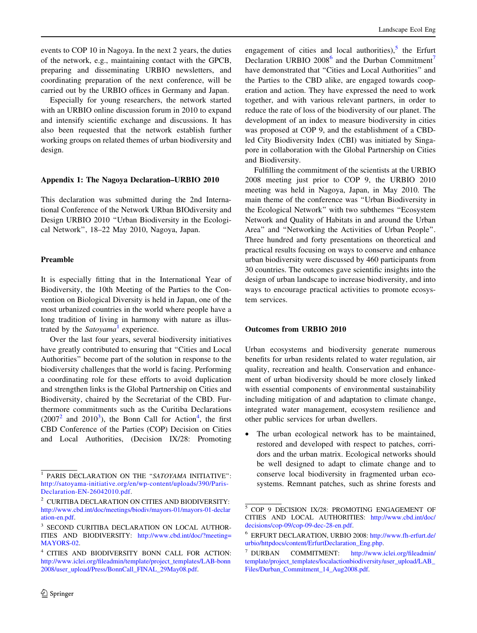<span id="page-5-0"></span>events to COP 10 in Nagoya. In the next 2 years, the duties of the network, e.g., maintaining contact with the GPCB, preparing and disseminating URBIO newsletters, and coordinating preparation of the next conference, will be carried out by the URBIO offices in Germany and Japan.

Especially for young researchers, the network started with an URBIO online discussion forum in 2010 to expand and intensify scientific exchange and discussions. It has also been requested that the network establish further working groups on related themes of urban biodiversity and design.

#### Appendix 1: The Nagoya Declaration–URBIO 2010

This declaration was submitted during the 2nd International Conference of the Network URban BIOdiversity and Design URBIO 2010 ''Urban Biodiversity in the Ecological Network'', 18–22 May 2010, Nagoya, Japan.

## Preamble

It is especially fitting that in the International Year of Biodiversity, the 10th Meeting of the Parties to the Convention on Biological Diversity is held in Japan, one of the most urbanized countries in the world where people have a long tradition of living in harmony with nature as illustrated by the  $Satoyama<sup>1</sup>$  experience.

Over the last four years, several biodiversity initiatives have greatly contributed to ensuring that ''Cities and Local Authorities'' become part of the solution in response to the biodiversity challenges that the world is facing. Performing a coordinating role for these efforts to avoid duplication and strengthen links is the Global Partnership on Cities and Biodiversity, chaired by the Secretariat of the CBD. Furthermore commitments such as the Curitiba Declarations  $(2007<sup>2</sup>$  and  $2010<sup>3</sup>$ ), the Bonn Call for Action<sup>4</sup>, the first CBD Conference of the Parties (COP) Decision on Cities and Local Authorities, (Decision IX/28: Promoting engagement of cities and local authorities).<sup>5</sup> the Erfurt Declaration URBIO 2008 $^6$  and the Durban Commitment<sup>7</sup> have demonstrated that ''Cities and Local Authorities'' and the Parties to the CBD alike, are engaged towards cooperation and action. They have expressed the need to work together, and with various relevant partners, in order to reduce the rate of loss of the biodiversity of our planet. The development of an index to measure biodiversity in cities was proposed at COP 9, and the establishment of a CBDled City Biodiversity Index (CBI) was initiated by Singapore in collaboration with the Global Partnership on Cities and Biodiversity.

Fulfilling the commitment of the scientists at the URBIO 2008 meeting just prior to COP 9, the URBIO 2010 meeting was held in Nagoya, Japan, in May 2010. The main theme of the conference was ''Urban Biodiversity in the Ecological Network'' with two subthemes ''Ecosystem Network and Quality of Habitats in and around the Urban Area'' and ''Networking the Activities of Urban People''. Three hundred and forty presentations on theoretical and practical results focusing on ways to conserve and enhance urban biodiversity were discussed by 460 participants from 30 countries. The outcomes gave scientific insights into the design of urban landscape to increase biodiversity, and into ways to encourage practical activities to promote ecosystem services.

#### Outcomes from URBIO 2010

Urban ecosystems and biodiversity generate numerous benefits for urban residents related to water regulation, air quality, recreation and health. Conservation and enhancement of urban biodiversity should be more closely linked with essential components of environmental sustainability including mitigation of and adaptation to climate change, integrated water management, ecosystem resilience and other public services for urban dwellers.

The urban ecological network has to be maintained, restored and developed with respect to patches, corridors and the urban matrix. Ecological networks should be well designed to adapt to climate change and to conserve local biodiversity in fragmented urban ecosystems. Remnant patches, such as shrine forests and

<sup>&</sup>lt;sup>1</sup> PARIS DECLARATION ON THE "SATOYAMA INITIATIVE": [http://satoyama-initiative.org/en/wp-content/uploads/390/Paris-](http://satoyama-initiative.org/en/wp-content/uploads/390/Paris-Declaration-EN-26042010.pdf)[Declaration-EN-26042010.pdf.](http://satoyama-initiative.org/en/wp-content/uploads/390/Paris-Declaration-EN-26042010.pdf)

<sup>2</sup> CURITIBA DECLARATION ON CITIES AND BIODIVERSITY: [http://www.cbd.int/doc/meetings/biodiv/mayors-01/mayors-01-declar](http://www.cbd.int/doc/meetings/biodiv/mayors-01/mayors-01-declaration-en.pdf) [ation-en.pdf](http://www.cbd.int/doc/meetings/biodiv/mayors-01/mayors-01-declaration-en.pdf).

<sup>3</sup> SECOND CURITIBA DECLARATION ON LOCAL AUTHOR-ITIES AND BIODIVERSITY: [http://www.cbd.int/doc/?meeting=](http://www.cbd.int/doc/?meeting=MAYORS-02) [MAYORS-02](http://www.cbd.int/doc/?meeting=MAYORS-02).

<sup>4</sup> CITIES AND BIODIVERSITY BONN CALL FOR ACTION: [http://www.iclei.org/fileadmin/template/project\\_templates/LAB-bonn](http://www.iclei.org/fileadmin/template/project_templates/LAB-bonn2008/user_upload/Press/BonnCall_FINAL_29May08.pdf) [2008/user\\_upload/Press/BonnCall\\_FINAL\\_29May08.pdf](http://www.iclei.org/fileadmin/template/project_templates/LAB-bonn2008/user_upload/Press/BonnCall_FINAL_29May08.pdf).

<sup>5</sup> COP 9 DECISION IX/28: PROMOTING ENGAGEMENT OF CITIES AND LOCAL AUTHORITIES: [http://www.cbd.int/doc/](http://www.cbd.int/doc/decisions/cop-09/cop-09-dec-28-en.pdf) [decisions/cop-09/cop-09-dec-28-en.pdf.](http://www.cbd.int/doc/decisions/cop-09/cop-09-dec-28-en.pdf)

<sup>6</sup> ERFURT DECLARATION, URBIO 2008: [http://www.fh-erfurt.de/](http://www.fh-erfurt.de/urbio/httpdocs/content/ErfurtDeclaration_Eng.php) [urbio/httpdocs/content/ErfurtDeclaration\\_Eng.php.](http://www.fh-erfurt.de/urbio/httpdocs/content/ErfurtDeclaration_Eng.php)

<sup>7</sup> DURBAN COMMITMENT: [http://www.iclei.org/fileadmin/](http://www.iclei.org/fileadmin/template/project_templates/localactionbiodiversity/user_upload/LAB_Files/Durban_Commitment_14_Aug2008.pdf) [template/project\\_templates/localactionbiodiversity/user\\_upload/LAB\\_](http://www.iclei.org/fileadmin/template/project_templates/localactionbiodiversity/user_upload/LAB_Files/Durban_Commitment_14_Aug2008.pdf) [Files/Durban\\_Commitment\\_14\\_Aug2008.pdf.](http://www.iclei.org/fileadmin/template/project_templates/localactionbiodiversity/user_upload/LAB_Files/Durban_Commitment_14_Aug2008.pdf)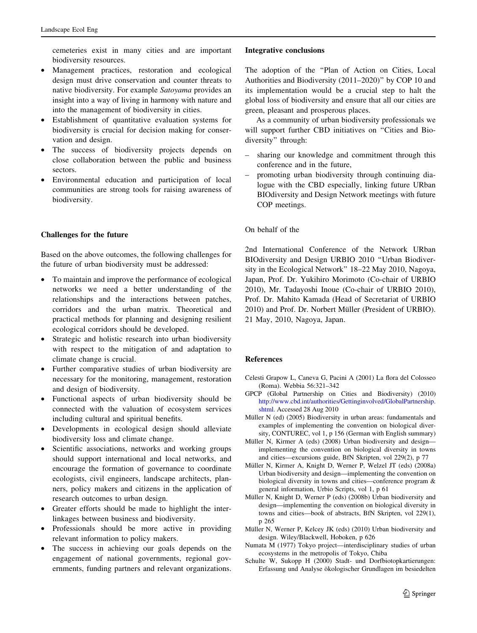<span id="page-6-0"></span>cemeteries exist in many cities and are important biodiversity resources.

- Management practices, restoration and ecological design must drive conservation and counter threats to native biodiversity. For example Satoyama provides an insight into a way of living in harmony with nature and into the management of biodiversity in cities.
- Establishment of quantitative evaluation systems for biodiversity is crucial for decision making for conservation and design.
- The success of biodiversity projects depends on close collaboration between the public and business sectors.
- Environmental education and participation of local communities are strong tools for raising awareness of biodiversity.

# Challenges for the future

Based on the above outcomes, the following challenges for the future of urban biodiversity must be addressed:

- To maintain and improve the performance of ecological networks we need a better understanding of the relationships and the interactions between patches, corridors and the urban matrix. Theoretical and practical methods for planning and designing resilient ecological corridors should be developed.
- Strategic and holistic research into urban biodiversity with respect to the mitigation of and adaptation to climate change is crucial.
- Further comparative studies of urban biodiversity are necessary for the monitoring, management, restoration and design of biodiversity.
- Functional aspects of urban biodiversity should be connected with the valuation of ecosystem services including cultural and spiritual benefits.
- Developments in ecological design should alleviate biodiversity loss and climate change.
- Scientific associations, networks and working groups should support international and local networks, and encourage the formation of governance to coordinate ecologists, civil engineers, landscape architects, planners, policy makers and citizens in the application of research outcomes to urban design.
- Greater efforts should be made to highlight the interlinkages between business and biodiversity.
- Professionals should be more active in providing relevant information to policy makers.
- The success in achieving our goals depends on the engagement of national governments, regional governments, funding partners and relevant organizations.

#### Integrative conclusions

The adoption of the ''Plan of Action on Cities, Local Authorities and Biodiversity (2011–2020)'' by COP 10 and its implementation would be a crucial step to halt the global loss of biodiversity and ensure that all our cities are green, pleasant and prosperous places.

As a community of urban biodiversity professionals we will support further CBD initiatives on "Cities and Biodiversity'' through:

- sharing our knowledge and commitment through this conference and in the future,
- promoting urban biodiversity through continuing dialogue with the CBD especially, linking future URban BIOdiversity and Design Network meetings with future COP meetings.

#### On behalf of the

2nd International Conference of the Network URban BIOdiversity and Design URBIO 2010 ''Urban Biodiversity in the Ecological Network'' 18–22 May 2010, Nagoya, Japan, Prof. Dr. Yukihiro Morimoto (Co-chair of URBIO 2010), Mr. Tadayoshi Inoue (Co-chair of URBIO 2010), Prof. Dr. Mahito Kamada (Head of Secretariat of URBIO 2010) and Prof. Dr. Norbert Müller (President of URBIO). 21 May, 2010, Nagoya, Japan.

# References

- Celesti Grapow L, Caneva G, Pacini A (2001) La flora del Colosseo (Roma). Webbia 56:321–342
- GPCP (Global Partnership on Cities and Biodiversity) (2010) [http://www.cbd.int/authorities/Gettinginvolved/GlobalPartnership.](http://www.cbd.int/authorities/Gettinginvolved/GlobalPartnership.shtml) [shtml.](http://www.cbd.int/authorities/Gettinginvolved/GlobalPartnership.shtml) Accessed 28 Aug 2010
- Müller N (ed) (2005) Biodiversity in urban areas: fundamentals and examples of implementing the convention on biological diversity, CONTUREC, vol 1, p 156 (German with English summary)
- Müller N, Kirmer A (eds) (2008) Urban biodiversity and designimplementing the convention on biological diversity in towns and cities—excursions guide, BfN Skripten, vol 229(2), p 77
- Müller N, Kirmer A, Knight D, Werner P, Welzel JT (eds) (2008a) Urban biodiversity and design—implementing the convention on biological diversity in towns and cities—conference program & general information, Urbio Scripts, vol 1, p 61
- Müller N, Knight D, Werner P (eds) (2008b) Urban biodiversity and design—implementing the convention on biological diversity in towns and cities—book of abstracts, BfN Skripten, vol 229(1), p 265
- Müller N, Werner P, Kelcey JK (eds) (2010) Urban biodiversity and design. Wiley/Blackwell, Hoboken, p 626
- Numata M (1977) Tokyo project—interdisciplinary studies of urban ecosystems in the metropolis of Tokyo, Chiba
- Schulte W, Sukopp H (2000) Stadt- und Dorfbiotopkartierungen: Erfassung und Analyse ökologischer Grundlagen im besiedelten